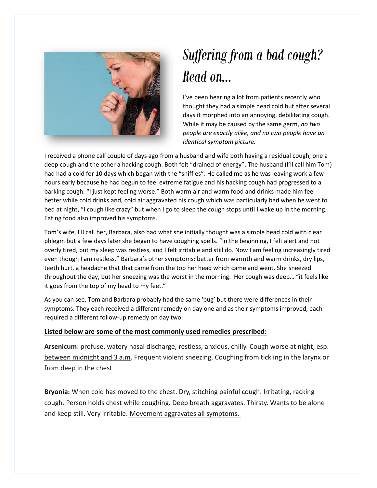

## *Suffering from a bad cough? Read on…*

I've been hearing a lot from patients recently who thought they had a simple head cold but after several days it morphed into an annoying, debilitating cough. While it may be caused by the same germ, *no two people are exactly alike, and no two people have an identical symptom picture.*

I received a phone call couple of days ago from a husband and wife both having a residual cough, one a deep cough and the other a hacking cough. Both felt "drained of energy". The husband (I'll call him Tom) had had a cold for 10 days which began with the "sniffles". He called me as he was leaving work a few hours early because he had begun to feel extreme fatigue and his hacking cough had progressed to a barking cough. "I just kept feeling worse." Both warm air and warm food and drinks made him feel better while cold drinks and, cold air aggravated his cough which was particularly bad when he went to bed at night, "I cough like crazy" but when I go to sleep the cough stops until I wake up in the morning. Eating food also improved his symptoms.

Tom's wife, I'll call her, Barbara, also had what she initially thought was a simple head cold with clear phlegm but a few days later she began to have coughing spells. "In the beginning, I felt alert and not overly tired, but my sleep was restless, and I felt irritable and still do. Now I am feeling increasingly tired even though I am restless." Barbara's other symptoms: better from warmth and warm drinks, dry lips, teeth hurt, a headache that that came from the top her head which came and went. She sneezed throughout the day, but her sneezing was the worst in the morning. Her cough was deep… "it feels like it goes from the top of my head to my feet."

As you can see, Tom and Barbara probably had the same 'bug' but there were differences in their symptoms. They each received a different remedy on day one and as their symptoms improved, each required a different follow-up remedy on day two.

## **Listed below are some of the most commonly used remedies prescribed:**

Arsenicum: profuse, watery nasal discharge, restless, anxious, chilly. Cough worse at night, esp. between midnight and 3 a.m. Frequent violent sneezing. Coughing from tickling in the larynx or from deep in the chest

**Bryonia:** When cold has moved to the chest. Dry, stitching painful cough. Irritating, racking cough. Person holds chest while coughing. Deep breath aggravates. Thirsty. Wants to be alone and keep still. Very irritable. Movement aggravates all symptoms.